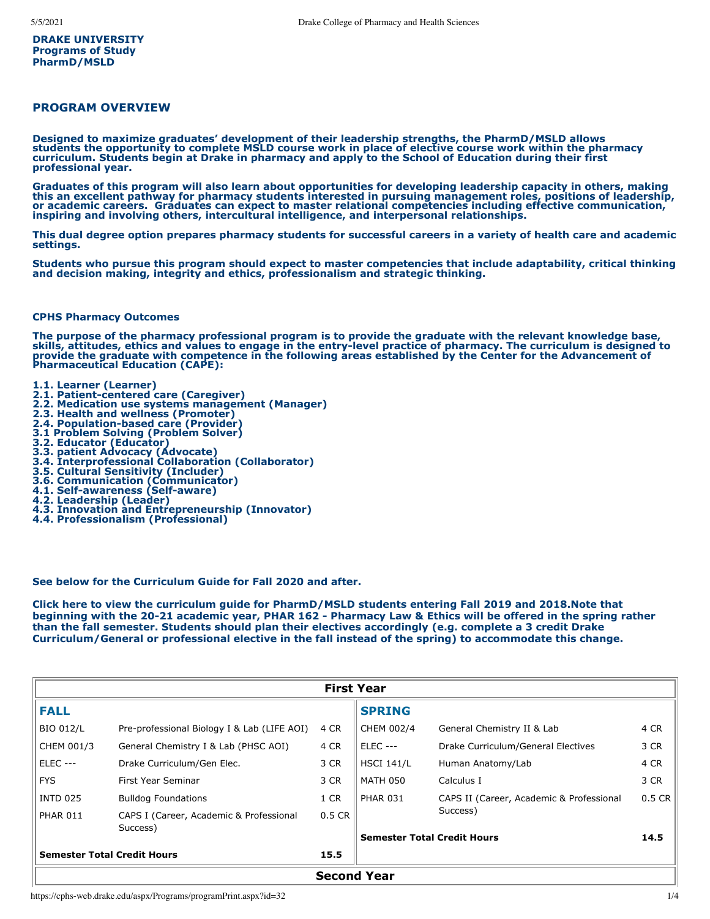**DRAKE UNIVERSITY Programs of Study PharmD/MSLD**

## **PROGRAM OVERVIEW**

**Designed to maximize graduates' development of their leadership strengths, the PharmD/MSLD allows students the opportunity to complete MSLD course work in place of elective course work within the pharmacy curriculum. Students begin at Drake in pharmacy and apply to the School of Education during their first professional year.**

**Graduates of this program will also learn about opportunities for developing leadership capacity in others, making this an excellent pathway for pharmacy students interested in pursuing management roles, positions of leadership, or academic careers. Graduates can expect to master relational competencies including effective communication, inspiring and involving others, intercultural intelligence, and interpersonal relationships.** 

**This dual degree option prepares pharmacy students for successful careers in a variety of health care and academic settings.**

**Students who pursue this program should expect to master competencies that include adaptability, critical thinking and decision making, integrity and ethics, professionalism and strategic thinking.** 

#### **CPHS Pharmacy Outcomes**

**The purpose of the pharmacy professional program is to provide the graduate with the relevant knowledge base, skills, attitudes, ethics and values to engage in the entry-level practice of pharmacy. The curriculum is designed to provide the graduate with competence in the following areas established by the Center for the Advancement of Pharmaceutical Education (CAPE):**

- **1.1. Learner (Learner)**
- **2.1. Patient-centered care (Caregiver)**
- **2.2. Medication use systems management (Manager)**
- **2.3. Health and wellness (Promoter)**
- **2.4. Population-based care (Provider) 3.1 Problem Solving (Problem Solver)**
- 
- **3.2. Educator (Educator)**
- **3.3. patient Advocacy (Advocate) 3.4. Interprofessional Collaboration (Collaborator)**
- **3.5. Cultural Sensitivity (Includer)**
- **3.6. Communication (Communicator)**
- **4.1. Self-awareness (Self-aware)**
- **4.2. Leadership (Leader)**
- **4.3. Innovation and Entrepreneurship (Innovator)**
- **4.4. Professionalism (Professional)**

### **See below for the Curriculum Guide for Fall 2020 and after.**

**Click [here](https://www.drake.edu/media/collegesschools/cphs/PharmD_MSLD_Curriculum_Fall_2019.pdf) to view the curriculum guide for PharmD/MSLD students entering Fall 2019 and 2018.Note that beginning with the 20-21 academic year, PHAR 162 - Pharmacy Law & Ethics will be offered in the spring rather than the fall semester. Students should plan their electives accordingly (e.g. complete a 3 credit Drake Curriculum/General or professional elective in the fall instead of the spring) to accommodate this change.**

| <b>First Year</b>                          |                                                     |          |                                    |                                          |          |
|--------------------------------------------|-----------------------------------------------------|----------|------------------------------------|------------------------------------------|----------|
| <b>FALL</b>                                |                                                     |          | <b>SPRING</b>                      |                                          |          |
| <b>BIO 012/L</b>                           | Pre-professional Biology I & Lab (LIFE AOI)         | 4 CR     | CHEM 002/4                         | General Chemistry II & Lab               | 4 CR     |
| CHEM 001/3                                 | General Chemistry I & Lab (PHSC AOI)                | 4 CR     | <b>ELEC ---</b>                    | Drake Curriculum/General Electives       | 3 CR     |
| <b>ELEC ---</b>                            | Drake Curriculum/Gen Elec.                          | 3 CR     | <b>HSCI 141/L</b>                  | Human Anatomy/Lab                        | 4 CR     |
| <b>FYS</b>                                 | First Year Seminar                                  | 3 CR     | <b>MATH 050</b>                    | Calculus I                               | 3 CR     |
| <b>INTD 025</b>                            | <b>Bulldog Foundations</b>                          | 1 CR     | <b>PHAR 031</b>                    | CAPS II (Career, Academic & Professional | $0.5$ CR |
| <b>PHAR 011</b>                            | CAPS I (Career, Academic & Professional<br>Success) | $0.5$ CR | <b>Semester Total Credit Hours</b> | Success)                                 | 14.5     |
| <b>Semester Total Credit Hours</b><br>15.5 |                                                     |          |                                    |                                          |          |
| <b>Second Year</b>                         |                                                     |          |                                    |                                          |          |

https://cphs-web.drake.edu/aspx/Programs/programPrint.aspx?id=32 1/4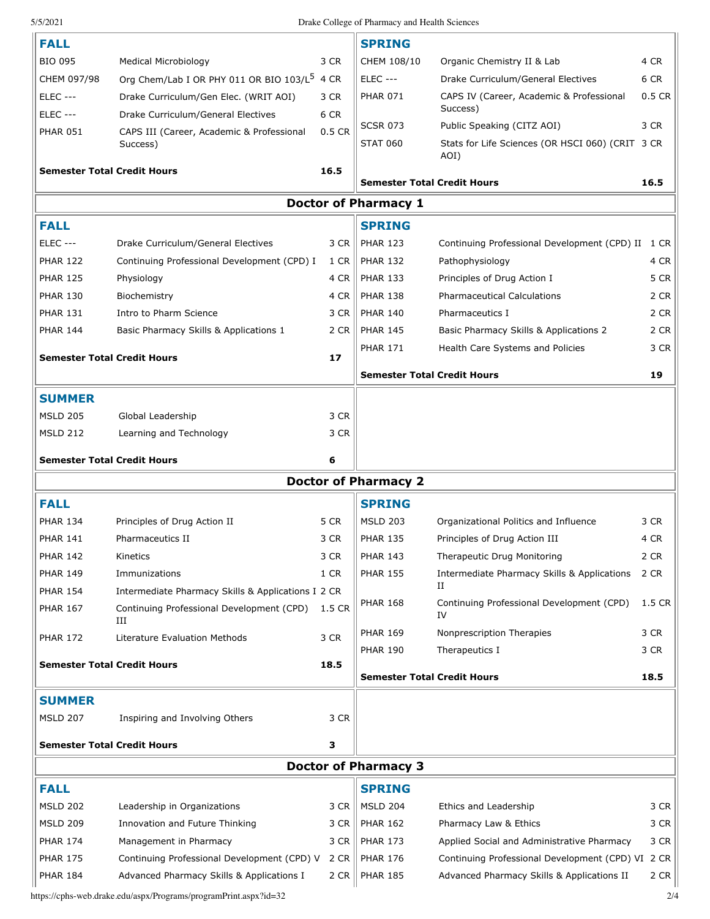## 5/5/2021 Drake College of Pharmacy and Health Sciences

| <b>FALL</b>     |                                                       |        | <b>SPRING</b>                      |                                                          |          |
|-----------------|-------------------------------------------------------|--------|------------------------------------|----------------------------------------------------------|----------|
| <b>BIO 095</b>  | <b>Medical Microbiology</b>                           | 3 CR   | CHEM 108/10                        | Organic Chemistry II & Lab                               | 4 CR     |
| CHEM 097/98     | Org Chem/Lab I OR PHY 011 OR BIO 103/L <sup>5</sup>   | 4 CR   | <b>ELEC ---</b>                    | Drake Curriculum/General Electives                       | 6 CR     |
| <b>ELEC ---</b> | Drake Curriculum/Gen Elec. (WRIT AOI)                 | 3 CR   | <b>PHAR 071</b>                    | CAPS IV (Career, Academic & Professional<br>Success)     | $0.5$ CR |
| <b>ELEC ---</b> | Drake Curriculum/General Electives                    | 6 CR   | <b>SCSR 073</b>                    | Public Speaking (CITZ AOI)                               | 3 CR     |
| <b>PHAR 051</b> | CAPS III (Career, Academic & Professional<br>Success) | 0.5 CR | <b>STAT 060</b>                    | Stats for Life Sciences (OR HSCI 060) (CRIT 3 CR<br>AOI) |          |
|                 | <b>Semester Total Credit Hours</b>                    | 16.5   |                                    |                                                          |          |
|                 |                                                       |        | <b>Semester Total Credit Hours</b> |                                                          | 16.5     |
|                 |                                                       |        | <b>Doctor of Pharmacy 1</b>        |                                                          |          |
| <b>FALL</b>     |                                                       |        | <b>SPRING</b>                      |                                                          |          |
| <b>ELEC ---</b> | Drake Curriculum/General Electives                    | 3 CR   | <b>PHAR 123</b>                    | Continuing Professional Development (CPD) II             | 1 CR     |
| <b>PHAR 122</b> | Continuing Professional Development (CPD) I           | 1 CR   | <b>PHAR 132</b>                    | Pathophysiology                                          | 4 CR     |
| <b>PHAR 125</b> | Physiology                                            | 4 CR   | <b>PHAR 133</b>                    | Principles of Drug Action I                              | 5 CR     |
| <b>PHAR 130</b> | Biochemistry                                          | 4 CR   | <b>PHAR 138</b>                    | <b>Pharmaceutical Calculations</b>                       | 2 CR     |
| <b>PHAR 131</b> | Intro to Pharm Science                                | 3 CR   | <b>PHAR 140</b>                    | Pharmaceutics I                                          | 2 CR     |
| <b>PHAR 144</b> | Basic Pharmacy Skills & Applications 1                | 2 CR   | <b>PHAR 145</b>                    | Basic Pharmacy Skills & Applications 2                   | 2 CR     |
|                 | <b>Semester Total Credit Hours</b>                    | 17     | <b>PHAR 171</b>                    | Health Care Systems and Policies                         | 3 CR     |
|                 |                                                       |        | <b>Semester Total Credit Hours</b> |                                                          | 19       |
| <b>SUMMER</b>   |                                                       |        |                                    |                                                          |          |
| <b>MSLD 205</b> | Global Leadership                                     | 3 CR   |                                    |                                                          |          |
|                 |                                                       | 3 CR   |                                    |                                                          |          |
| <b>MSLD 212</b> | Learning and Technology                               |        |                                    |                                                          |          |
|                 | <b>Semester Total Credit Hours</b>                    | 6      |                                    |                                                          |          |
|                 |                                                       |        | <b>Doctor of Pharmacy 2</b>        |                                                          |          |
| <b>FALL</b>     |                                                       |        | <b>SPRING</b>                      |                                                          |          |
| <b>PHAR 134</b> | Principles of Drug Action II                          | 5 CR   | <b>MSLD 203</b>                    | Organizational Politics and Influence                    | 3 CR     |
| <b>PHAR 141</b> | Pharmaceutics II                                      | 3 CR   | <b>PHAR 135</b>                    | Principles of Drug Action III                            | 4 CR     |
| <b>PHAR 142</b> | Kinetics                                              | 3 CR   | <b>PHAR 143</b>                    | Therapeutic Drug Monitoring                              | 2 CR     |
| <b>PHAR 149</b> | Immunizations                                         | 1 CR   | <b>PHAR 155</b>                    | Intermediate Pharmacy Skills & Applications              | 2 CR     |
| <b>PHAR 154</b> | Intermediate Pharmacy Skills & Applications I 2 CR    |        |                                    | П                                                        |          |
| <b>PHAR 167</b> | Continuing Professional Development (CPD)<br>Ш        | 1.5 CR | <b>PHAR 168</b>                    | Continuing Professional Development (CPD)<br>IV          | 1.5 CR   |
| <b>PHAR 172</b> | Literature Evaluation Methods                         | 3 CR   | <b>PHAR 169</b>                    | Nonprescription Therapies                                | 3 CR     |
|                 |                                                       |        | <b>PHAR 190</b>                    | Therapeutics I                                           | 3 CR     |
|                 | <b>Semester Total Credit Hours</b>                    | 18.5   | <b>Semester Total Credit Hours</b> |                                                          | 18.5     |
| <b>SUMMER</b>   |                                                       |        |                                    |                                                          |          |
| <b>MSLD 207</b> | Inspiring and Involving Others                        | 3 CR   |                                    |                                                          |          |
|                 |                                                       |        |                                    |                                                          |          |
|                 | <b>Semester Total Credit Hours</b>                    | з      |                                    |                                                          |          |
|                 |                                                       |        | <b>Doctor of Pharmacy 3</b>        |                                                          |          |
| <b>FALL</b>     |                                                       |        | <b>SPRING</b>                      |                                                          |          |
| <b>MSLD 202</b> | Leadership in Organizations                           | 3 CR   | <b>MSLD 204</b>                    | Ethics and Leadership                                    | 3 CR     |
| <b>MSLD 209</b> | Innovation and Future Thinking                        | 3 CR   | <b>PHAR 162</b>                    | Pharmacy Law & Ethics                                    | 3 CR     |
| <b>PHAR 174</b> | Management in Pharmacy                                | 3 CR   | <b>PHAR 173</b>                    | Applied Social and Administrative Pharmacy               | 3 CR     |
| <b>PHAR 175</b> | Continuing Professional Development (CPD) V 2 CR      |        | <b>PHAR 176</b>                    | Continuing Professional Development (CPD) VI 2 CR        |          |
| <b>PHAR 184</b> | Advanced Pharmacy Skills & Applications I             | 2 CR   | <b>PHAR 185</b>                    | Advanced Pharmacy Skills & Applications II               | 2 CR     |

https://cphs-web.drake.edu/aspx/Programs/programPrint.aspx?id=32 2/4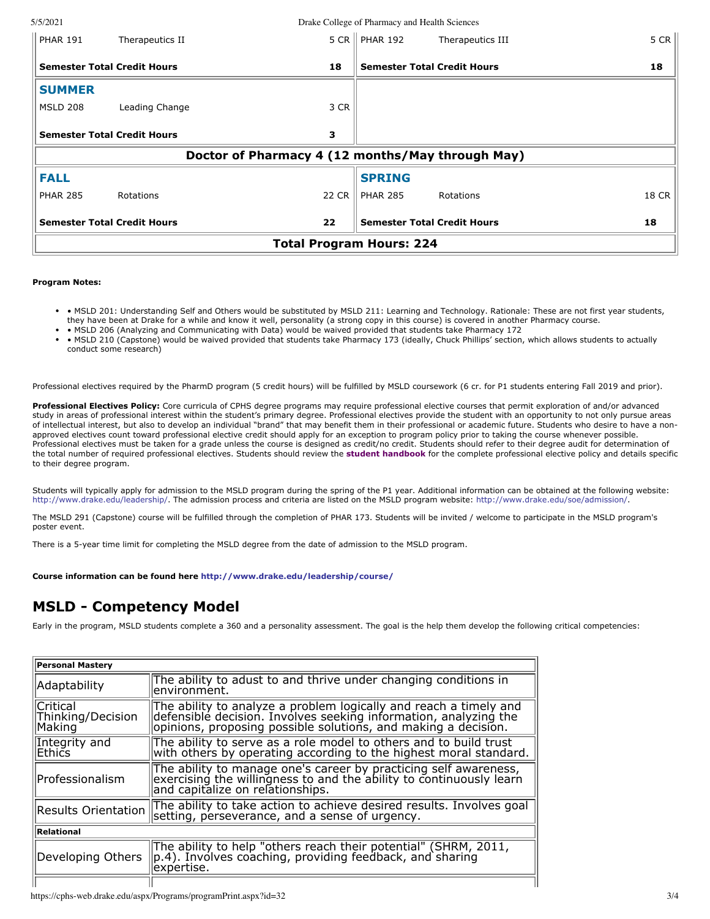5/5/2021 Drake College of Pharmacy and Health Sciences

| <b>PHAR 191</b>                                  | Therapeutics II                          |                                          | 5 CR<br>5 CR   PHAR 192<br>Therapeutics III |  |
|--------------------------------------------------|------------------------------------------|------------------------------------------|---------------------------------------------|--|
| <b>Semester Total Credit Hours</b><br>18         |                                          | 18<br><b>Semester Total Credit Hours</b> |                                             |  |
| <b>SUMMER</b>                                    |                                          |                                          |                                             |  |
| <b>MSLD 208</b>                                  | Leading Change                           | 3 CR                                     |                                             |  |
| <b>Semester Total Credit Hours</b>               |                                          | 3                                        |                                             |  |
| Doctor of Pharmacy 4 (12 months/May through May) |                                          |                                          |                                             |  |
| <b>FALL</b>                                      |                                          |                                          | <b>SPRING</b>                               |  |
| <b>PHAR 285</b>                                  | Rotations                                | 22 CR                                    | 18 CR<br><b>PHAR 285</b><br>Rotations       |  |
|                                                  | 22<br><b>Semester Total Credit Hours</b> |                                          | <b>Semester Total Credit Hours</b><br>18    |  |
| <b>Total Program Hours: 224</b>                  |                                          |                                          |                                             |  |

#### **Program Notes:**

- MSLD 201: Understanding Self and Others would be substituted by MSLD 211: Learning and Technology. Rationale: These are not first year students, they have been at Drake for a while and know it well, personality (a strong copy in this course) is covered in another Pharmacy course.
- MSLD 206 (Analyzing and Communicating with Data) would be waived provided that students take Pharmacy 172
- MSLD 210 (Capstone) would be waived provided that students take Pharmacy 173 (ideally, Chuck Phillips' section, which allows students to actually conduct some research)

Professional electives required by the PharmD program (5 credit hours) will be fulfilled by MSLD coursework (6 cr. for P1 students entering Fall 2019 and prior).

**Professional Electives Policy:** Core curricula of CPHS degree programs may require professional elective courses that permit exploration of and/or advanced study in areas of professional interest within the student's primary degree. Professional electives provide the student with an opportunity to not only pursue areas of intellectual interest, but also to develop an individual "brand" that may benefit them in their professional or academic future. Students who desire to have a nonapproved electives count toward professional elective credit should apply for an exception to program policy prior to taking the course whenever possible. Professional electives must be taken for a grade unless the course is designed as credit/no credit. Students should refer to their degree audit for determination of the total number of required professional electives. Students should review the **[student handbook](https://www.drake.edu/cphs/handbookspolicies/)** for the complete professional elective policy and details specific to their degree program.

Students will typically apply for admission to the MSLD program during the spring of the P1 year. Additional information can be obtained at the following website: <http://www.drake.edu/leadership/>. The admission process and criteria are listed on the MSLD program website: <http://www.drake.edu/soe/admission/>.

The MSLD 291 (Capstone) course will be fulfilled through the completion of PHAR 173. Students will be invited / welcome to participate in the MSLD program's poster event.

There is a 5-year time limit for completing the MSLD degree from the date of admission to the MSLD program.

**Course information can be found here <http://www.drake.edu/leadership/course/>**

# **MSLD - Competency Model**

Early in the program, MSLD students complete a 360 and a personality assessment. The goal is the help them develop the following critical competencies:

| <b>Personal Mastery</b>                                                                                                                                     |                                                                                                                                                                                                          |  |  |
|-------------------------------------------------------------------------------------------------------------------------------------------------------------|----------------------------------------------------------------------------------------------------------------------------------------------------------------------------------------------------------|--|--|
| Adaptability                                                                                                                                                | The ability to adust to and thrive under changing conditions in<br>environment.                                                                                                                          |  |  |
| <b>Critical</b><br>Thinking/Decision<br>Making                                                                                                              | The ability to analyze a problem logically and reach a timely and<br>defensible decision. Involves seeking information, analyzing the<br>lopinions, proposing possible solutions, and making a decision. |  |  |
| Integrity and<br>Ethics                                                                                                                                     | The ability to serve as a role model to others and to build trust<br>with others by operating according to the highest moral standard.                                                                   |  |  |
| lProfessionalism                                                                                                                                            | The ability to manage one's career by practicing self awareness,<br>exercising the willingness to and the ability to continuously learn<br>and capitalize on relationships.                              |  |  |
| <b>Results Orientation</b>                                                                                                                                  | The ability to take action to achieve desired results. Involves goal<br>setting, perseverance, and a sense of urgency.                                                                                   |  |  |
| Relational                                                                                                                                                  |                                                                                                                                                                                                          |  |  |
| The ability to help "others reach their potential" (SHRM, 2011, p.4). Involves coaching, providing feedback, and sharing<br>Developing Others<br>expertise. |                                                                                                                                                                                                          |  |  |
|                                                                                                                                                             |                                                                                                                                                                                                          |  |  |